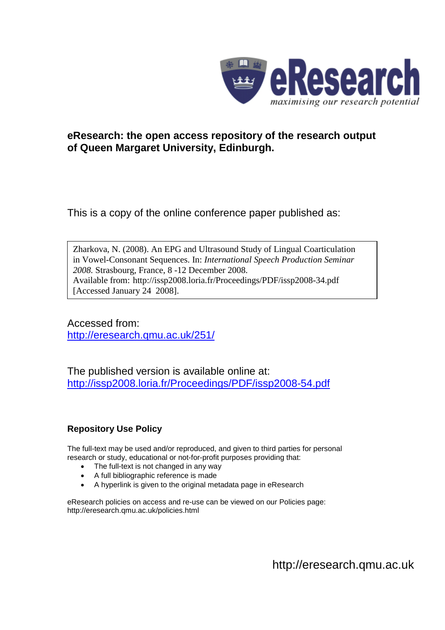

# **eResearch: the open access repository of the research output of Queen Margaret University, Edinburgh.**

This is a copy of the online conference paper published as:

Zharkova, N. (2008). An EPG and Ultrasound Study of Lingual Coarticulation in Vowel-Consonant Sequences. In: *International Speech Production Seminar 2008.* Strasbourg, France, 8 -12 December 2008. Available from: http://issp2008.loria.fr/Proceedings/PDF/issp2008-34.pdf [Accessed January 24 2008].

Accessed from: http://eresearch.qmu.ac.uk/251/

The published version is available online at: http://issp2008.loria.fr/Proceedings/PDF/issp2008-54.pdf

## **Repository Use Policy**

The full-text may be used and/or reproduced, and given to third parties for personal research or study, educational or not-for-profit purposes providing that:

- The full-text is not changed in any way
- A full bibliographic reference is made
- A hyperlink is given to the original metadata page in eResearch

eResearch policies on access and re-use can be viewed on our Policies page: http://eresearch.qmu.ac.uk/policies.html

http://eresearch.qmu.ac.uk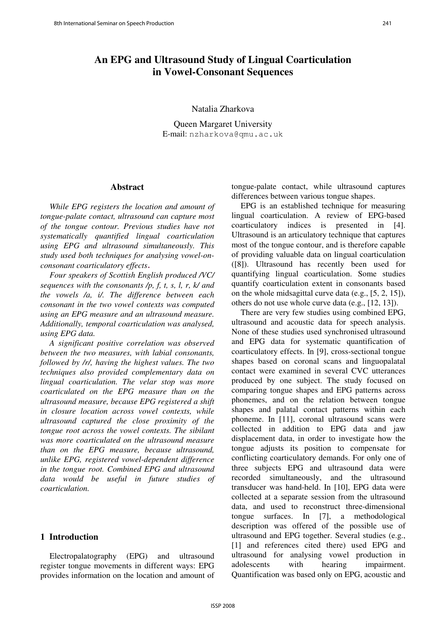## **An EPG and Ultrasound Study of Lingual Coarticulation in Vowel-Consonant Sequences**

Natalia Zharkova

Queen Margaret University E-mail: nzharkova@qmu.ac.uk

#### **Abstract**

*While EPG registers the location and amount of tongue-palate contact, ultrasound can capture most of the tongue contour. Previous studies have not systematically quantified lingual coarticulation using EPG and ultrasound simultaneously. This study used both techniques for analysing vowel-onconsonant coarticulatory effects*-

*Four speakers of Scottish English produced /VC/ sequences with the consonants /p, f, t, s, l, r, k/ and the vowels /a, i/. The difference between each consonant in the two vowel contexts was computed using an EPG measure and an ultrasound measure. Additionally, temporal coarticulation was analysed, using EPG data.*

*A significant positive correlation was observed between the two measures, with labial consonants, followed by /r/, having the highest values. The two techniques also provided complementary data on lingual coarticulation. The velar stop was more coarticulated on the EPG measure than on the ultrasound measure, because EPG registered a shift in closure location across vowel contexts, while ultrasound captured the close proximity of the tongue root across the vowel contexts. The sibilant was more coarticulated on the ultrasound measure than on the EPG measure, because ultrasound, unlike EPG, registered vowel-dependent difference in the tongue root. Combined EPG and ultrasound data would be useful in future studies of coarticulation.* 

### **1 Introduction**

Electropalatography (EPG) and ultrasound register tongue movements in different ways: EPG provides information on the location and amount of tongue-palate contact, while ultrasound captures differences between various tongue shapes.

EPG is an established technique for measuring lingual coarticulation. A review of EPG-based coarticulatory indices is presented in [4]. Ultrasound is an articulatory technique that captures most of the tongue contour, and is therefore capable of providing valuable data on lingual coarticulation ([8]). Ultrasound has recently been used for quantifying lingual coarticulation. Some studies quantify coarticulation extent in consonants based on the whole midsagittal curve data (e.g., [5, 2, 15]), others do not use whole curve data (e.g., [12, 13]).

There are very few studies using combined EPG, ultrasound and acoustic data for speech analysis. None of these studies used synchronised ultrasound and EPG data for systematic quantification of coarticulatory effects. In [9], cross-sectional tongue shapes based on coronal scans and linguopalatal contact were examined in several CVC utterances produced by one subject. The study focused on comparing tongue shapes and EPG patterns across phonemes, and on the relation between tongue shapes and palatal contact patterns within each phoneme. In [11], coronal ultrasound scans were collected in addition to EPG data and jaw displacement data, in order to investigate how the tongue adjusts its position to compensate for conflicting coarticulatory demands. For only one of three subjects EPG and ultrasound data were recorded simultaneously, and the ultrasound transducer was hand-held. In [10], EPG data were collected at a separate session from the ultrasound data, and used to reconstruct three-dimensional tongue surfaces. In [7], a methodological description was offered of the possible use of ultrasound and EPG together. Several studies (e.g., [1] and references cited there) used EPG and ultrasound for analysing vowel production in adolescents with hearing impairment. Quantification was based only on EPG, acoustic and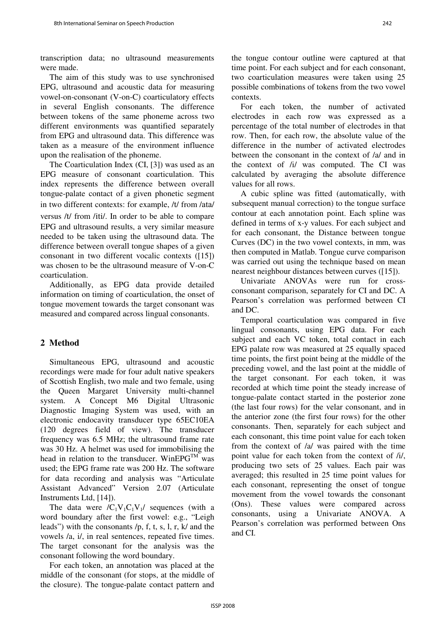transcription data; no ultrasound measurements were made.

The aim of this study was to use synchronised EPG, ultrasound and acoustic data for measuring vowel-on-consonant (V-on-C) coarticulatory effects in several English consonants. The difference between tokens of the same phoneme across two different environments was quantified separately from EPG and ultrasound data. This difference was taken as a measure of the environment influence upon the realisation of the phoneme.

The Coarticulation Index (CI, [3]) was used as an EPG measure of consonant coarticulation. This index represents the difference between overall tongue-palate contact of a given phonetic segment in two different contexts: for example, /t/ from /ata/ versus /t/ from /iti/. In order to be able to compare EPG and ultrasound results, a very similar measure needed to be taken using the ultrasound data. The difference between overall tongue shapes of a given consonant in two different vocalic contexts ([15]) was chosen to be the ultrasound measure of V-on-C coarticulation.

Additionally, as EPG data provide detailed information on timing of coarticulation, the onset of tongue movement towards the target consonant was measured and compared across lingual consonants.

### **2 Method**

Simultaneous EPG, ultrasound and acoustic recordings were made for four adult native speakers of Scottish English, two male and two female, using the Queen Margaret University multi-channel system. A Concept M6 Digital Ultrasonic Diagnostic Imaging System was used, with an electronic endocavity transducer type 65EC10EA (120 degrees field of view). The transducer frequency was 6.5 MHz; the ultrasound frame rate was 30 Hz. A helmet was used for immobilising the head in relation to the transducer. WinEPG<sup>TM</sup> was used; the EPG frame rate was 200 Hz. The software for data recording and analysis was "Articulate Assistant Advanced" Version 2.07 (Articulate Instruments Ltd, [14]).

The data were  $/C_1V_1C_1V_1$  sequences (with a word boundary after the first vowel: e.g., "Leigh leads") with the consonants /p, f, t, s, l, r, k/ and the vowels /a, i/, in real sentences, repeated five times. The target consonant for the analysis was the consonant following the word boundary.

For each token, an annotation was placed at the middle of the consonant (for stops, at the middle of the closure). The tongue-palate contact pattern and

the tongue contour outline were captured at that time point. For each subject and for each consonant, two coarticulation measures were taken using 25 possible combinations of tokens from the two vowel contexts.

For each token, the number of activated electrodes in each row was expressed as a percentage of the total number of electrodes in that row. Then, for each row, the absolute value of the difference in the number of activated electrodes between the consonant in the context of /a/ and in the context of /i/ was computed. The CI was calculated by averaging the absolute difference values for all rows.

A cubic spline was fitted (automatically, with subsequent manual correction) to the tongue surface contour at each annotation point. Each spline was defined in terms of x-y values. For each subject and for each consonant, the Distance between tongue Curves (DC) in the two vowel contexts, in mm, was then computed in Matlab. Tongue curve comparison was carried out using the technique based on mean nearest neighbour distances between curves ([15]).

Univariate ANOVAs were run for crossconsonant comparison, separately for CI and DC. A Pearson's correlation was performed between CI and DC.

Temporal coarticulation was compared in five lingual consonants, using EPG data. For each subject and each VC token, total contact in each EPG palate row was measured at 25 equally spaced time points, the first point being at the middle of the preceding vowel, and the last point at the middle of the target consonant. For each token, it was recorded at which time point the steady increase of tongue-palate contact started in the posterior zone (the last four rows) for the velar consonant, and in the anterior zone (the first four rows) for the other consonants. Then, separately for each subject and each consonant, this time point value for each token from the context of /a/ was paired with the time point value for each token from the context of /i/, producing two sets of 25 values. Each pair was averaged; this resulted in 25 time point values for each consonant, representing the onset of tongue movement from the vowel towards the consonant (Ons). These values were compared across consonants, using a Univariate ANOVA. A Pearson's correlation was performed between Ons and CI.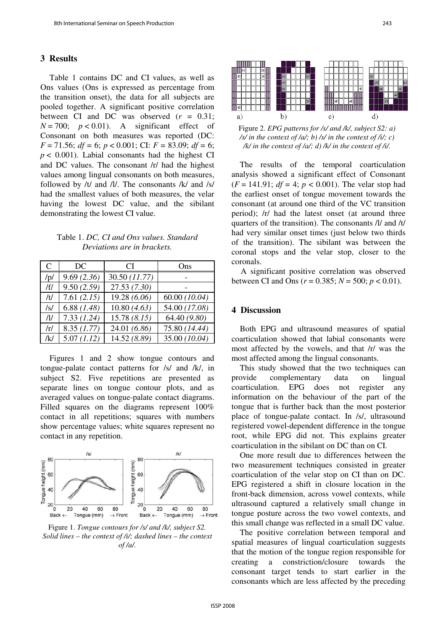#### **3 Results**

Table 1 contains DC and CI values, as well as Ons values (Ons is expressed as percentage from the transition onset), the data for all subjects are pooled together. A significant positive correlation between CI and DC was observed (*r* = 0.31;  $N = 700$ ;  $p < 0.01$ ). A significant effect of Consonant on both measures was reported (DC: *F* = 71.56; *df* = 6; *p* < 0.001; CI: *F* = 83.09; *df* = 6;  $p < 0.001$ ). Labial consonants had the highest CI and DC values. The consonant /r/ had the highest values among lingual consonants on both measures, followed by /t/ and /l/. The consonants /k/ and /s/ had the smallest values of both measures, the velar having the lowest DC value, and the sibilant demonstrating the lowest CI value.

Table 1. *DC, CI and Ons values. Standard Deviations are in brackets.* 

| C      | DC            | CI.           | Ons           |
|--------|---------------|---------------|---------------|
| /p/    | 9.69(2.36)    | 30.50 (11.77) |               |
| /f/    | 9.50(2.59)    | 27.53(7.30)   |               |
| /t/    | 7.61(2.15)    | 19.28 (6.06)  | 60.00(10.04)  |
| /s/    | 6.88 $(1.48)$ | 10.80(4.63)   | 54.00 (17.08) |
| $\eta$ | 7.33(1.24)    | 15.78(8.15)   | 64.40 (9.80)  |
| /r/    | 8.35(1.77)    | 24.01 (6.86)  | 75.80 (14.44) |
| /k/    | 5.07(1.12)    | 14.52 (8.89)  | 35.00 (10.04) |

Figures 1 and 2 show tongue contours and tongue-palate contact patterns for /s/ and /k/, in subject S2. Five repetitions are presented as separate lines on tongue contour plots, and as averaged values on tongue-palate contact diagrams. Filled squares on the diagrams represent 100% contact in all repetitions; squares with numbers show percentage values; white squares represent no contact in any repetition.



Figure 1. *Tongue contours for /s/ and /k/, subject S2. Solid lines – the context of /i/; dashed lines – the context of /a/.*



Figure 2. *EPG patterns for /s/ and /k/, subject S2: a) /s/ in the context of /a/; b) /s/ in the context of /i/; c) /k/ in the context of /a/; d) /k/ in the context of /i/.* 

The results of the temporal coarticulation analysis showed a significant effect of Consonant  $(F = 141.91; df = 4; p < 0.001)$ . The velar stop had the earliest onset of tongue movement towards the consonant (at around one third of the VC transition period); /r/ had the latest onset (at around three quarters of the transition). The consonants /l/ and /t/ had very similar onset times (just below two thirds of the transition). The sibilant was between the coronal stops and the velar stop, closer to the coronals.

A significant positive correlation was observed between CI and Ons ( $r = 0.385$ ;  $N = 500$ ;  $p < 0.01$ ).

#### **4 Discussion**

Both EPG and ultrasound measures of spatial coarticulation showed that labial consonants were most affected by the vowels, and that /r/ was the most affected among the lingual consonants.

This study showed that the two techniques can provide complementary data on lingual coarticulation. EPG does not register any information on the behaviour of the part of the tongue that is further back than the most posterior place of tongue-palate contact. In /s/, ultrasound registered vowel-dependent difference in the tongue root, while EPG did not. This explains greater coarticulation in the sibilant on DC than on CI.

One more result due to differences between the two measurement techniques consisted in greater coarticulation of the velar stop on CI than on DC. EPG registered a shift in closure location in the front-back dimension, across vowel contexts, while ultrasound captured a relatively small change in tongue posture across the two vowel contexts, and this small change was reflected in a small DC value.

The positive correlation between temporal and spatial measures of lingual coarticulation suggests that the motion of the tongue region responsible for creating a constriction/closure towards the consonant target tends to start earlier in the consonants which are less affected by the preceding